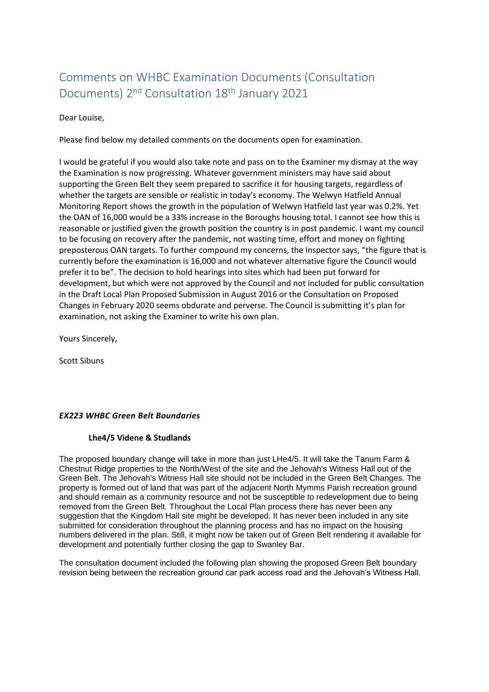# Comments on WHBC Examination Documents (Consultation Documents) 2nd Consultation 18th January 2021

#### Dear Louise,

Please find below my detailed comments on the documents open for examination.

I would be grateful if you would also take note and pass on to the Examiner my dismay at the way the Examination is now progressing. Whatever government ministers may have said about supporting the Green Belt they seem prepared to sacrifice it for housing targets, regardless of whether the targets are sensible or realistic in today's economy. The Welwyn Hatfield Annual Monitoring Report shows the growth in the population of Welwyn Hatfield last year was 0.2%. Yet the OAN of 16,000 would be a 33% increase in the Boroughs housing total. I cannot see how this is reasonable or justified given the growth position the country is in post pandemic. I want my council to be focusing on recovery after the pandemic, not wasting time, effort and money on fighting preposterous OAN targets. To further compound my concerns, the Inspector says, "the figure that is currently before the examination is 16,000 and not whatever alternative figure the Council would prefer it to be". The decision to hold hearings into sites which had been put forward for development, but which were not approved by the Council and not included for public consultation in the Draft Local Plan Proposed Submission in August 2016 or the Consultation on Proposed Changes in February 2020 seems obdurate and perverse. The Council is submitting it's plan for examination, not asking the Examiner to write his own plan.

Yours Sincerely,

Scott Sibuns

#### *EX223 WHBC Green Belt Boundaries*

#### **Lhe4/5 Videne & Studlands**

The proposed boundary change will take in more than just LHe4/5. It will take the Tanum Farm & Chestnut Ridge properties to the North/West of the site and the Jehovah's Witness Hall out of the Green Belt. The Jehovah's Witness Hall site should not be included in the Green Belt Changes. The property is formed out of land that was part of the adjacent North Mymms Parish recreation ground and should remain as a community resource and not be susceptible to redevelopment due to being removed from the Green Belt. Throughout the Local Plan process there has never been any suggestion that the Kingdom Hall site might be developed. It has never been included in any site submitted for consideration throughout the planning process and has no impact on the housing numbers delivered in the plan. Still, it might now be taken out of Green Belt rendering it available for development and potentially further closing the gap to Swanley Bar.

The consultation document included the following plan showing the proposed Green Belt boundary revision being between the recreation ground car park access road and the Jehovah's Witness Hall.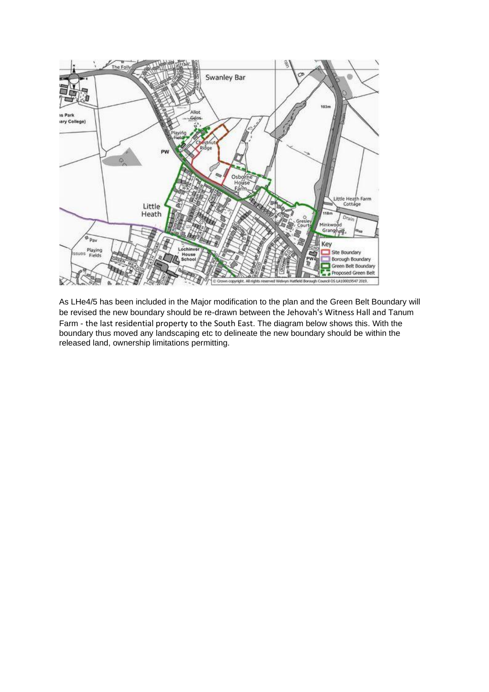

As LHe4/5 has been included in the Major modification to the plan and the Green Belt Boundary will be revised the new boundary should be re-drawn between the Jehovah's Witness Hall and Tanum Farm - the last residential property to the South East. The diagram below shows this. With the boundary thus moved any landscaping etc to delineate the new boundary should be within the released land, ownership limitations permitting.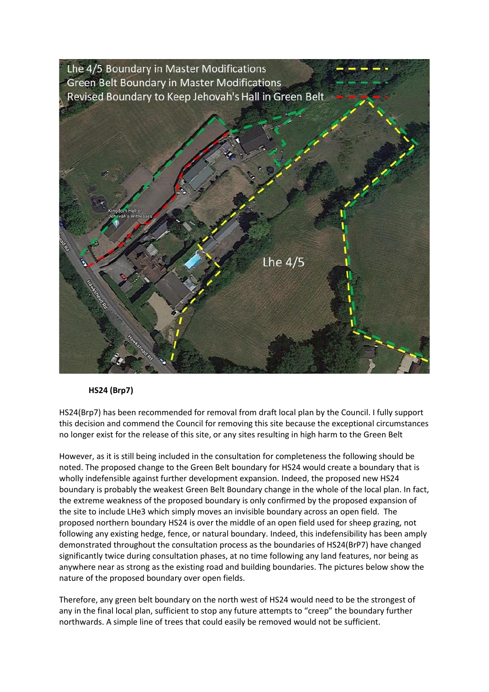

#### **HS24 (Brp7)**

HS24(Brp7) has been recommended for removal from draft local plan by the Council. I fully support this decision and commend the Council for removing this site because the exceptional circumstances no longer exist for the release of this site, or any sites resulting in high harm to the Green Belt

However, as it is still being included in the consultation for completeness the following should be noted. The proposed change to the Green Belt boundary for HS24 would create a boundary that is wholly indefensible against further development expansion. Indeed, the proposed new HS24 boundary is probably the weakest Green Belt Boundary change in the whole of the local plan. In fact, the extreme weakness of the proposed boundary is only confirmed by the proposed expansion of the site to include LHe3 which simply moves an invisible boundary across an open field. The proposed northern boundary HS24 is over the middle of an open field used for sheep grazing, not following any existing hedge, fence, or natural boundary. Indeed, this indefensibility has been amply demonstrated throughout the consultation process as the boundaries of HS24(BrP7) have changed significantly twice during consultation phases, at no time following any land features, nor being as anywhere near as strong as the existing road and building boundaries. The pictures below show the nature of the proposed boundary over open fields.

Therefore, any green belt boundary on the north west of HS24 would need to be the strongest of any in the final local plan, sufficient to stop any future attempts to "creep" the boundary further northwards. A simple line of trees that could easily be removed would not be sufficient.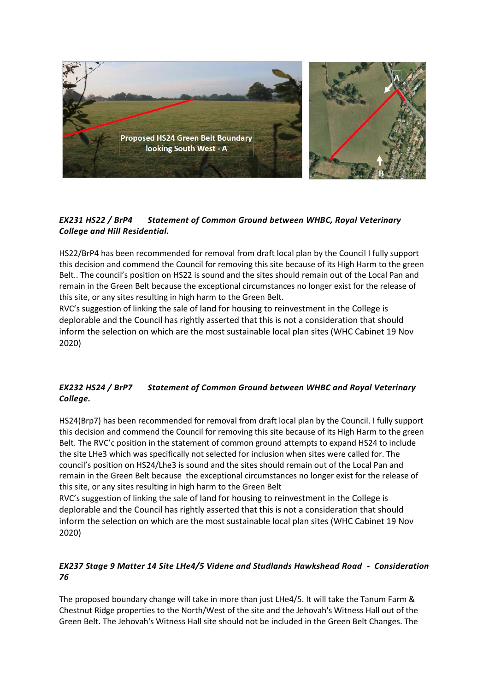

## *EX231 HS22 / BrP4 Statement of Common Ground between WHBC, Royal Veterinary College and Hill Residential.*

HS22/BrP4 has been recommended for removal from draft local plan by the Council I fully support this decision and commend the Council for removing this site because of its High Harm to the green Belt.. The council's position on HS22 is sound and the sites should remain out of the Local Pan and remain in the Green Belt because the exceptional circumstances no longer exist for the release of this site, or any sites resulting in high harm to the Green Belt.

RVC's suggestion of linking the sale of land for housing to reinvestment in the College is deplorable and the Council has rightly asserted that this is not a consideration that should inform the selection on which are the most sustainable local plan sites (WHC Cabinet 19 Nov 2020)

# *EX232 HS24 / BrP7 Statement of Common Ground between WHBC and Royal Veterinary College.*

HS24(Brp7) has been recommended for removal from draft local plan by the Council. I fully support this decision and commend the Council for removing this site because of its High Harm to the green Belt. The RVC'c position in the statement of common ground attempts to expand HS24 to include the site LHe3 which was specifically not selected for inclusion when sites were called for. The council's position on HS24/Lhe3 is sound and the sites should remain out of the Local Pan and remain in the Green Belt because the exceptional circumstances no longer exist for the release of this site, or any sites resulting in high harm to the Green Belt

RVC's suggestion of linking the sale of land for housing to reinvestment in the College is deplorable and the Council has rightly asserted that this is not a consideration that should inform the selection on which are the most sustainable local plan sites (WHC Cabinet 19 Nov 2020)

## *EX237 Stage 9 Matter 14 Site LHe4/5 Videne and Studlands Hawkshead Road - Consideration 76*

The proposed boundary change will take in more than just LHe4/5. It will take the Tanum Farm & Chestnut Ridge properties to the North/West of the site and the Jehovah's Witness Hall out of the Green Belt. The Jehovah's Witness Hall site should not be included in the Green Belt Changes. The